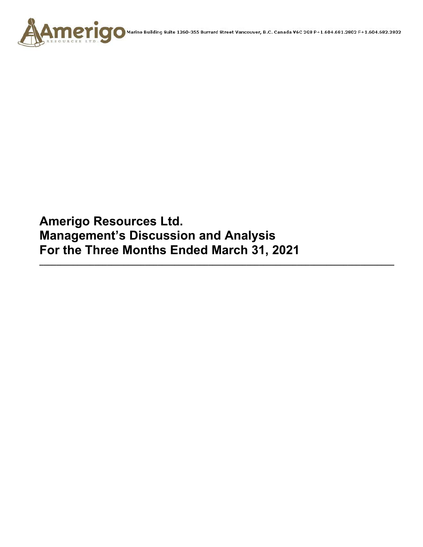

**Amerigo Resources Ltd. Management's Discussion and Analysis For the Three Months Ended March 31, 2021**

**\_\_\_\_\_\_\_\_\_\_\_\_\_\_\_\_\_\_\_\_\_\_\_\_\_\_\_\_\_\_\_\_\_\_\_\_\_\_\_\_\_\_\_\_\_\_\_\_\_\_\_\_\_\_\_\_\_\_\_\_\_\_\_\_\_\_\_\_\_\_\_\_\_\_\_\_\_\_\_\_\_\_\_\_**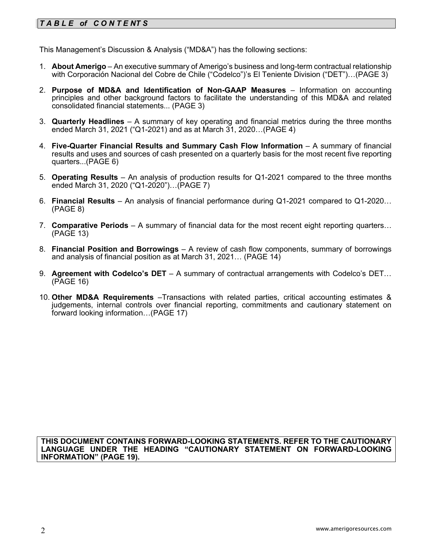# *T A B L E of C O N T E NT S*

This Management's Discussion & Analysis ("MD&A") has the following sections:

- 1. **About Amerigo**  An executive summary of Amerigo's business and long-term contractual relationship with Corporación Nacional del Cobre de Chile ("Codelco")'s El Teniente Division ("DET")…(PAGE 3)
- 2. **Purpose of MD&A and Identification of Non-GAAP Measures**  Information on accounting principles and other background factors to facilitate the understanding of this MD&A and related consolidated financial statements... (PAGE 3)
- 3. **Quarterly Headlines** A summary of key operating and financial metrics during the three months ended March 31, 2021 ("Q1-2021) and as at March 31, 2020…(PAGE 4)
- 4. **Five-Quarter Financial Results and Summary Cash Flow Information**  A summary of financial results and uses and sources of cash presented on a quarterly basis for the most recent five reporting quarters...(PAGE 6)
- 5. **Operating Results** An analysis of production results for Q1-2021 compared to the three months ended March 31, 2020 ("Q1-2020")…(PAGE 7)
- 6. **Financial Results**  An analysis of financial performance during Q1-2021 compared to Q1-2020… (PAGE 8)
- 7. **Comparative Periods** A summary of financial data for the most recent eight reporting quarters… (PAGE 13)
- 8. **Financial Position and Borrowings**  A review of cash flow components, summary of borrowings and analysis of financial position as at March 31, 2021… (PAGE 14)
- 9. **Agreement with Codelco's DET** A summary of contractual arrangements with Codelco's DET… (PAGE 16)
- 10. **Other MD&A Requirements** –Transactions with related parties, critical accounting estimates & judgements, internal controls over financial reporting, commitments and cautionary statement on forward looking information…(PAGE 17)

**THIS DOCUMENT CONTAINS FORWARD-LOOKING STATEMENTS. REFER TO THE CAUTIONARY LANGUAGE UNDER THE HEADING "CAUTIONARY STATEMENT ON FORWARD-LOOKING INFORMATION" (PAGE 19).**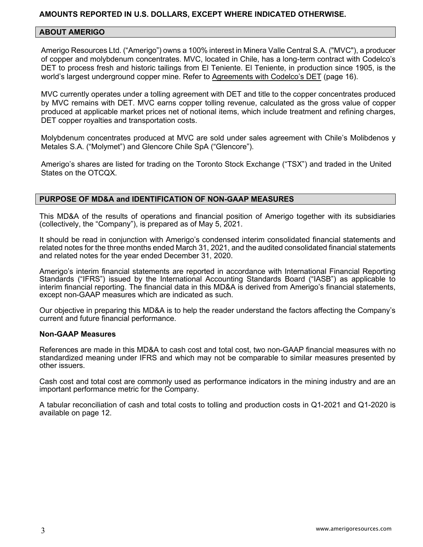### **AMOUNTS REPORTED IN U.S. DOLLARS, EXCEPT WHERE INDICATED OTHERWISE.**

#### **ABOUT AMERIGO**

Amerigo Resources Ltd. ("Amerigo") owns a 100% interest in Minera Valle Central S.A. ("MVC"), a producer of copper and molybdenum concentrates. MVC, located in Chile, has a long-term contract with Codelco's DET to process fresh and historic tailings from El Teniente. El Teniente, in production since 1905, is the world's largest underground copper mine. Refer to Agreements with Codelco's DET (page 16).

MVC currently operates under a tolling agreement with DET and title to the copper concentrates produced by MVC remains with DET. MVC earns copper tolling revenue, calculated as the gross value of copper produced at applicable market prices net of notional items, which include treatment and refining charges, DET copper royalties and transportation costs.

Molybdenum concentrates produced at MVC are sold under sales agreement with Chile's Molibdenos y Metales S.A. ("Molymet") and Glencore Chile SpA ("Glencore").

Amerigo's shares are listed for trading on the Toronto Stock Exchange ("TSX") and traded in the United States on the OTCQX.

#### **PURPOSE OF MD&A and IDENTIFICATION OF NON-GAAP MEASURES**

This MD&A of the results of operations and financial position of Amerigo together with its subsidiaries (collectively, the "Company"), is prepared as of May 5, 2021.

It should be read in conjunction with Amerigo's condensed interim consolidated financial statements and related notes for the three months ended March 31, 2021, and the audited consolidated financial statements and related notes for the year ended December 31, 2020.

Amerigo's interim financial statements are reported in accordance with International Financial Reporting Standards ("IFRS") issued by the International Accounting Standards Board ("IASB") as applicable to interim financial reporting. The financial data in this MD&A is derived from Amerigo's financial statements, except non-GAAP measures which are indicated as such.

Our objective in preparing this MD&A is to help the reader understand the factors affecting the Company's current and future financial performance.

#### **Non-GAAP Measures**

References are made in this MD&A to cash cost and total cost, two non-GAAP financial measures with no standardized meaning under IFRS and which may not be comparable to similar measures presented by other issuers.

Cash cost and total cost are commonly used as performance indicators in the mining industry and are an important performance metric for the Company.

A tabular reconciliation of cash and total costs to tolling and production costs in Q1-2021 and Q1-2020 is available on page 12.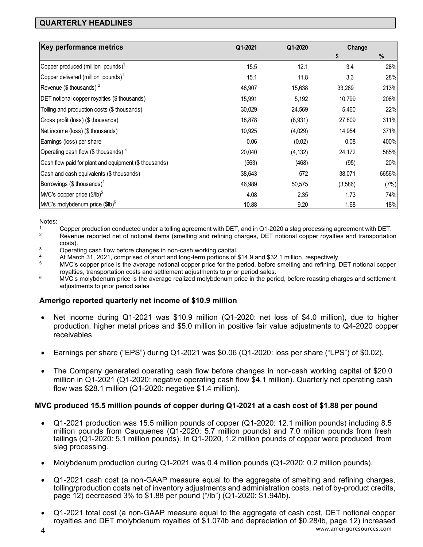# **QUARTERLY HEADLINES**

| <b>Key performance metrics</b>                        | Q1-2021 | Q1-2020  | Change  |       |
|-------------------------------------------------------|---------|----------|---------|-------|
|                                                       |         |          | \$      | $\%$  |
| Copper produced (million pounds) $^1$                 | 15.5    | 12.1     | 3.4     | 28%   |
| Copper delivered (million pounds) <sup>1</sup>        | 15.1    | 11.8     | 3.3     | 28%   |
| Revenue (\$ thousands) $^2$                           | 48,907  | 15,638   | 33,269  | 213%  |
| DET notional copper royalties (\$ thousands)          | 15,991  | 5,192    | 10,799  | 208%  |
| Tolling and production costs (\$ thousands)           | 30,029  | 24,569   | 5,460   | 22%   |
| Gross profit (loss) (\$ thousands)                    | 18,878  | (8,931)  | 27,809  | 311%  |
| Net income (loss) (\$ thousands)                      | 10,925  | (4,029)  | 14,954  | 371%  |
| Earnings (loss) per share                             | 0.06    | (0.02)   | 0.08    | 400%  |
| Operating cash flow (\$ thousands) $3$                | 20,040  | (4, 132) | 24,172  | 585%  |
| Cash flow paid for plant and equipment (\$ thousands) | (563)   | (468)    | (95)    | 20%   |
| Cash and cash equivalents (\$ thousands)              | 38,643  | 572      | 38,071  | 6656% |
| Borrowings (\$ thousands) <sup>4</sup>                | 46,989  | 50,575   | (3,586) | (7%)  |
| MVC's copper price (\$/lb) <sup>5</sup>               | 4.08    | 2.35     | 1.73    | 74%   |
| $M/C's$ molybdenum price $(\$ lb)^6$                  | 10.88   | 9.20     | 1.68    | 18%   |

#### Notes:

- 1 Copper production conducted under a tolling agreement with DET, and in Q1-2020 a slag processing agreement with DET.<br>2 Deserve agreeded not of national items (anothing and policing absence, DET national companionalities Revenue reported net of notional items (smelting and refining charges, DET notional copper royalties and transportation
	-
- costs).<br>Operating cash flow before changes in non-cash working capital.
- 3 Operating cash flow before changes in non-cash working capital.<br>4 At March 31, 2021, comprised of short and long-term portions of \$14.9 and \$32.1 million, respectively.<br>5 MVC's copper price is the average potional copper
- <sup>5</sup> MVC's copper price is the average notional copper price for the period, before smelting and refining, DET notional copper royalties, transportation costs and settlement adjustments to prior period sales.
- $6$  MVC's molybdenum price is the average realized molybdenum price in the period, before roasting charges and settlement adjustments to prior period sales

## **Amerigo reported quarterly net income of \$10.9 million**

- Net income during Q1-2021 was \$10.9 million (Q1-2020: net loss of \$4.0 million), due to higher production, higher metal prices and \$5.0 million in positive fair value adjustments to Q4-2020 copper receivables.
- Earnings per share ("EPS") during Q1-2021 was \$0.06 (Q1-2020: loss per share ("LPS") of \$0.02).
- The Company generated operating cash flow before changes in non-cash working capital of \$20.0 million in Q1-2021 (Q1-2020: negative operating cash flow \$4.1 million). Quarterly net operating cash flow was \$28.1 million (Q1-2020: negative \$1.4 million).

## **MVC produced 15.5 million pounds of copper during Q1-2021 at a cash cost of \$1.88 per pound**

- Q1-2021 production was 15.5 million pounds of copper (Q1-2020: 12.1 million pounds) including 8.5 million pounds from Cauquenes (Q1-2020: 5.7 million pounds) and 7.0 million pounds from fresh tailings (Q1-2020: 5.1 million pounds). In Q1-2020, 1.2 million pounds of copper were produced from slag processing.
- Molybdenum production during Q1-2021 was 0.4 million pounds (Q1-2020: 0.2 million pounds).
- Q1-2021 cash cost (a non-GAAP measure equal to the aggregate of smelting and refining charges, tolling/production costs net of inventory adjustments and administration costs, net of by-product credits, page 12) decreased 3% to \$1.88 per pound ("/lb") (Q1-2020: \$1.94/lb).
- 4 www.amerigoresources.com • Q1-2021 total cost (a non-GAAP measure equal to the aggregate of cash cost, DET notional copper royalties and DET molybdenum royalties of \$1.07/lb and depreciation of \$0.28/lb, page 12) increased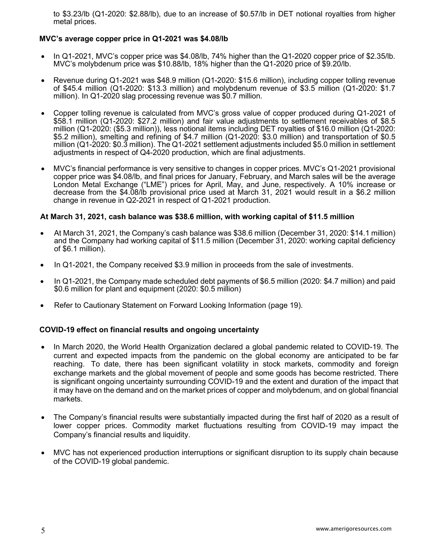to \$3.23/lb (Q1-2020: \$2.88/lb), due to an increase of \$0.57/lb in DET notional royalties from higher metal prices.

### **MVC's average copper price in Q1-2021 was \$4.08/lb**

- In Q1-2021, MVC's copper price was \$4.08/lb, 74% higher than the Q1-2020 copper price of \$2.35/lb. MVC's molybdenum price was \$10.88/lb, 18% higher than the Q1-2020 price of \$9.20/lb.
- Revenue during Q1-2021 was \$48.9 million (Q1-2020: \$15.6 million), including copper tolling revenue of \$45.4 million (Q1-2020: \$13.3 million) and molybdenum revenue of \$3.5 million (Q1-2020: \$1.7 million). In Q1-2020 slag processing revenue was \$0.7 million.
- Copper tolling revenue is calculated from MVC's gross value of copper produced during Q1-2021 of \$58.1 million (Q1-2020: \$27.2 million) and fair value adjustments to settlement receivables of \$8.5 million (Q1-2020: (\$5.3 million)), less notional items including DET royalties of \$16.0 million (Q1-2020: \$5.2 million), smelting and refining of \$4.7 million (Q1-2020: \$3.0 million) and transportation of \$0.5 million (Q1-2020: \$0.3 million). The Q1-2021 settlement adjustments included \$5.0 million in settlement adjustments in respect of Q4-2020 production, which are final adjustments.
- MVC's financial performance is very sensitive to changes in copper prices. MVC's Q1-2021 provisional copper price was \$4.08/lb, and final prices for January, February, and March sales will be the average London Metal Exchange ("LME") prices for April, May, and June, respectively. A 10% increase or decrease from the \$4.08/lb provisional price used at March 31, 2021 would result in a \$6.2 million change in revenue in Q2-2021 in respect of Q1-2021 production.

#### **At March 31, 2021, cash balance was \$38.6 million, with working capital of \$11.5 million**

- At March 31, 2021, the Company's cash balance was \$38.6 million (December 31, 2020: \$14.1 million) and the Company had working capital of \$11.5 million (December 31, 2020: working capital deficiency of \$6.1 million).
- In Q1-2021, the Company received \$3.9 million in proceeds from the sale of investments.
- In Q1-2021, the Company made scheduled debt payments of \$6.5 million (2020: \$4.7 million) and paid \$0.6 million for plant and equipment (2020: \$0.5 million)
- Refer to Cautionary Statement on Forward Looking Information (page 19).

## **COVID-19 effect on financial results and ongoing uncertainty**

- In March 2020, the World Health Organization declared a global pandemic related to COVID-19. The current and expected impacts from the pandemic on the global economy are anticipated to be far reaching. To date, there has been significant volatility in stock markets, commodity and foreign exchange markets and the global movement of people and some goods has become restricted. There is significant ongoing uncertainty surrounding COVID-19 and the extent and duration of the impact that it may have on the demand and on the market prices of copper and molybdenum, and on global financial markets.
- The Company's financial results were substantially impacted during the first half of 2020 as a result of lower copper prices. Commodity market fluctuations resulting from COVID-19 may impact the Company's financial results and liquidity.
- MVC has not experienced production interruptions or significant disruption to its supply chain because of the COVID-19 global pandemic.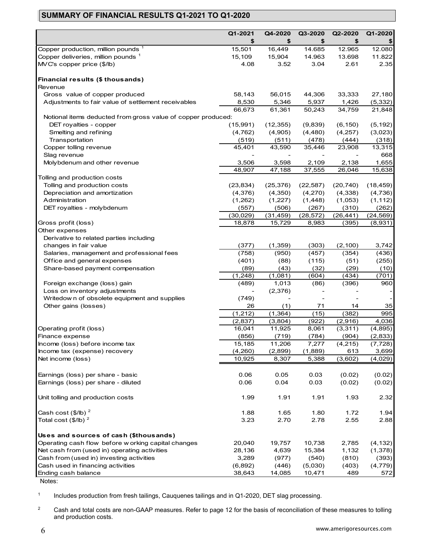# **SUMMARY OF FINANCIAL RESULTS Q1-2021 TO Q1-2020**

|                                                                                | Q1-2021<br>\$   | Q4-2020<br>\$   | Q3-2020<br>\$   | Q2-2020<br>\$   | Q1-2020            |
|--------------------------------------------------------------------------------|-----------------|-----------------|-----------------|-----------------|--------------------|
| Copper production, million pounds 1                                            | 15,501          | 16.449          | 14.685          | 12.965          | 12.080             |
| Copper deliveries, million pounds 1                                            | 15,109          | 15,904          | 14.963          | 13.698          | 11.822             |
| MVC's copper price (\$/lb)                                                     | 4.08            | 3.52            | 3.04            | 2.61            | 2.35               |
| Financial results (\$ thousands)                                               |                 |                 |                 |                 |                    |
| Revenue                                                                        |                 |                 |                 |                 |                    |
| Gross value of copper produced                                                 | 58,143          | 56,015          | 44,306          | 33,333          | 27,180             |
| Adjustments to fair value of settlement receivables                            | 8,530<br>66,673 | 5,346<br>61,361 | 5,937<br>50,243 | 1,426<br>34,759 | (5, 332)<br>21,848 |
| Notional items deducted from gross value of copper produced:                   |                 |                 |                 |                 |                    |
| DET royalties - copper                                                         | (15,991)        | (12, 355)       | (9,839)         | (6, 150)        | (5, 192)           |
| Smelting and refining                                                          | (4, 762)        | (4,905)         | (4, 480)        | (4,257)         | (3,023)            |
| Transportation                                                                 | (519)           | (511)           | (478)           | (444)           | (318)              |
| Copper tolling revenue                                                         | 45,401          | 43,590          | 35,446          | 23,908          | 13,315             |
| Slag revenue                                                                   |                 |                 |                 |                 | 668                |
| Molybdenum and other revenue                                                   | 3,506           | 3,598           | 2,109           | 2,138           | 1,655              |
|                                                                                | 48,907          | 47,188          | 37,555          | 26,046          | 15,638             |
| Tolling and production costs                                                   |                 |                 |                 |                 |                    |
| Tolling and production costs                                                   | (23, 834)       | (25, 376)       | (22, 587)       | (20, 740)       | (18, 459)          |
| Depreciation and amortization                                                  | (4,376)         | (4,350)         | (4,270)         | (4,338)         | (4,736)            |
| Administration                                                                 | (1,262)         | (1,227)         | (1, 448)        | (1,053)         | (1, 112)           |
| DET royalties - molybdenum                                                     | (557)           | (506)           | (267)           | (310)           | (262)              |
|                                                                                | (30, 029)       | (31, 459)       | (28, 572)       | (26, 441)       | (24, 569)          |
| Gross profit (loss)                                                            | 18,878          | 15,729          | 8,983           | (395)           | (8,931)            |
| Other expenses                                                                 |                 |                 |                 |                 |                    |
| Derivative to related parties including                                        |                 |                 |                 |                 |                    |
| changes in fair value                                                          | (377)           | (1,359)         | (303)           | (2, 100)        | 3,742              |
| Salaries, management and professional fees                                     | (758)           | (950)           | (457)           | (354)           | (436)              |
| Office and general expenses                                                    | (401)           | (88)            | (115)           | (51)            | (255)              |
| Share-based payment compensation                                               | (89)            | (43)            | (32)            | (29)            | (10)               |
|                                                                                | (1, 248)        | (1,081)         | (604)           | (434)           | (701)              |
| Foreign exchange (loss) gain                                                   | (489)           | 1,013           | (86)            | (396)           | 960                |
| Loss on inventory adjustments<br>Writedow n of obsolete equipment and supplies | (749)           | (2,376)         |                 |                 |                    |
| Other gains (losses)                                                           | 26              | (1)             | 71              | 14              | 35                 |
|                                                                                | (1, 212)        | (1, 364)        | (15)            | (382)           | 995                |
|                                                                                | (2, 837)        | (3,804)         | (922)           | (2,916)         | 4,036              |
| Operating profit (loss)                                                        | 16,041          | 11,925          | 8,061           | (3,311)         | (4, 895)           |
| Finance expense                                                                | (856)           | (719)           | (784)           | (904)           | (2,833)            |
| Income (loss) before income tax                                                | 15,185          | 11,206          | 7,277           | (4, 215)        | (7, 728)           |
| Income tax (expense) recovery                                                  | (4,260)         | (2,899)         | (1,889)         | 613             | 3,699              |
| Net income (loss)                                                              | 10,925          | 8,307           | 5,388           | (3,602)         | (4,029)            |
|                                                                                |                 |                 |                 |                 |                    |
| Earnings (loss) per share - basic                                              | 0.06            | 0.05            | 0.03            | (0.02)          | (0.02)             |
| Earnings (loss) per share - diluted                                            | 0.06            | 0.04            | 0.03            | (0.02)          | (0.02)             |
|                                                                                |                 |                 |                 |                 |                    |
| Unit tolling and production costs                                              | 1.99            | 1.91            | 1.91            | 1.93            | 2.32               |
| Cash cost $($/lb)^2$                                                           | 1.88            | 1.65            | 1.80            | 1.72            | 1.94               |
| Total cost $(\$/IB)^2$                                                         | 3.23            | 2.70            | 2.78            | 2.55            | 2.88               |
| Uses and sources of cash (\$thousands)                                         |                 |                 |                 |                 |                    |
| Operating cash flow before w orking capital changes                            | 20,040          | 19,757          | 10,738          | 2,785           | (4, 132)           |
| Net cash from (used in) operating activities                                   | 28,136          | 4,639           | 15,384          | 1,132           | (1,378)            |
| Cash from (used in) investing activities                                       | 3,289           | (977)           | (540)           | (810)           | (393)              |
| Cash used in financing activities                                              | (6,892)         | (446)           | (5,030)         | (403)           | (4, 779)           |
| Ending cash balance                                                            | 38,643          | 14,085          | 10,471          | 489             | 572                |

Notes:

<sup>1</sup> Includes production from fresh tailings, Cauquenes tailings and in Q1-2020, DET slag processing.

<sup>2</sup> Cash and total costs are non-GAAP measures. Refer to page 12 for the basis of reconciliation of these measures to tolling and production costs.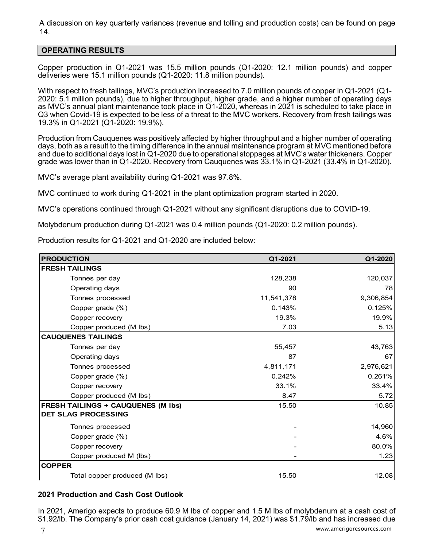A discussion on key quarterly variances (revenue and tolling and production costs) can be found on page 14.

# **OPERATING RESULTS**

Copper production in Q1-2021 was 15.5 million pounds (Q1-2020: 12.1 million pounds) and copper deliveries were 15.1 million pounds (Q1-2020: 11.8 million pounds).

With respect to fresh tailings, MVC's production increased to 7.0 million pounds of copper in Q1-2021 (Q1- 2020: 5.1 million pounds), due to higher throughput, higher grade, and a higher number of operating days as MVC's annual plant maintenance took place in Q1-2020, whereas in 2021 is scheduled to take place in Q3 when Covid-19 is expected to be less of a threat to the MVC workers. Recovery from fresh tailings was 19.3% in Q1-2021 (Q1-2020: 19.9%).

Production from Cauquenes was positively affected by higher throughput and a higher number of operating days, both as a result to the timing difference in the annual maintenance program at MVC mentioned before and due to additional days lost in Q1-2020 due to operational stoppages at MVC's water thickeners. Copper grade was lower than in Q1-2020. Recovery from Cauquenes was 33.1% in Q1-2021 (33.4% in Q1-2020).

MVC's average plant availability during Q1-2021 was 97.8%.

MVC continued to work during Q1-2021 in the plant optimization program started in 2020.

MVC's operations continued through Q1-2021 without any significant disruptions due to COVID-19.

Molybdenum production during Q1-2021 was 0.4 million pounds (Q1-2020: 0.2 million pounds).

Production results for Q1-2021 and Q1-2020 are included below:

| <b>PRODUCTION</b>                         | Q1-2021    | Q1-2020   |
|-------------------------------------------|------------|-----------|
| <b>FRESH TAILINGS</b>                     |            |           |
| Tonnes per day                            | 128,238    | 120,037   |
| Operating days                            | 90         | 78        |
| Tonnes processed                          | 11,541,378 | 9,306,854 |
| Copper grade (%)                          | 0.143%     | 0.125%    |
| Copper recovery                           | 19.3%      | 19.9%     |
| Copper produced (M lbs)                   | 7.03       | 5.13      |
| <b>CAUQUENES TAILINGS</b>                 |            |           |
| Tonnes per day                            | 55,457     | 43,763    |
| Operating days                            | 87         | 67        |
| Tonnes processed                          | 4,811,171  | 2,976,621 |
| Copper grade (%)                          | 0.242%     | 0.261%    |
| Copper recovery                           | 33.1%      | 33.4%     |
| Copper produced (M lbs)                   | 8.47       | 5.72      |
| <b>FRESH TAILINGS + CAUQUENES (M Ibs)</b> | 15.50      | 10.85     |
| <b>DET SLAG PROCESSING</b>                |            |           |
| Tonnes processed                          |            | 14,960    |
| Copper grade (%)                          |            | 4.6%      |
| Copper recovery                           |            | 80.0%     |
| Copper produced M (lbs)                   |            | 1.23      |
| <b>COPPER</b>                             |            |           |
| Total copper produced (M lbs)             | 15.50      | 12.08     |

## **2021 Production and Cash Cost Outlook**

In 2021, Amerigo expects to produce 60.9 M lbs of copper and 1.5 M lbs of molybdenum at a cash cost of \$1.92/lb. The Company's prior cash cost guidance (January 14, 2021) was \$1.79/lb and has increased due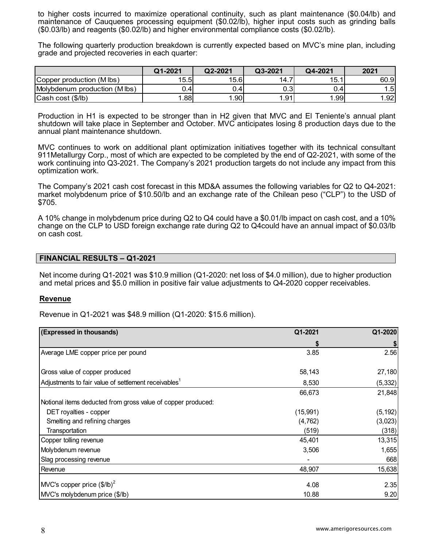to higher costs incurred to maximize operational continuity, such as plant maintenance (\$0.04/lb) and maintenance of Cauquenes processing equipment (\$0.02/lb), higher input costs such as grinding balls (\$0.03/lb) and reagents (\$0.02/lb) and higher environmental compliance costs (\$0.02/lb).

The following quarterly production breakdown is currently expected based on MVC's mine plan, including grade and projected recoveries in each quarter:

|                               | Q1-2021 | Q2-2021 | Q3-2021 | Q4-2021          | 2021 |
|-------------------------------|---------|---------|---------|------------------|------|
| Copper production (M lbs)     | 15.5    | 15.6    | 14.7    | 15.1             | 60.9 |
| Molybdenum production (M lbs) | 0.4     | 0.4     | 0.3     | 0.4              | 1.5  |
| Cash cost (\$/lb)             | .88     | .90     | 1.91    | .99 <sub>1</sub> | 1.92 |

Production in H1 is expected to be stronger than in H2 given that MVC and El Teniente's annual plant shutdown will take place in September and October. MVC anticipates losing 8 production days due to the annual plant maintenance shutdown.

MVC continues to work on additional plant optimization initiatives together with its technical consultant 911Metallurgy Corp., most of which are expected to be completed by the end of Q2-2021, with some of the work continuing into Q3-2021. The Company's 2021 production targets do not include any impact from this optimization work.

The Company's 2021 cash cost forecast in this MD&A assumes the following variables for Q2 to Q4-2021: market molybdenum price of \$10.50/lb and an exchange rate of the Chilean peso ("CLP") to the USD of \$705.

A 10% change in molybdenum price during Q2 to Q4 could have a \$0.01/lb impact on cash cost, and a 10% change on the CLP to USD foreign exchange rate during Q2 to Q4could have an annual impact of \$0.03/lb on cash cost.

#### **FINANCIAL RESULTS – Q1-2021**

Net income during Q1-2021 was \$10.9 million (Q1-2020: net loss of \$4.0 million), due to higher production and metal prices and \$5.0 million in positive fair value adjustments to Q4-2020 copper receivables.

#### **Revenue**

Revenue in Q1-2021 was \$48.9 million (Q1-2020: \$15.6 million).

| (Expressed in thousands)                                            | Q1-2021   | Q1-2020  |
|---------------------------------------------------------------------|-----------|----------|
|                                                                     |           |          |
| Average LME copper price per pound                                  | 3.85      | 2.56     |
| Gross value of copper produced                                      | 58,143    | 27,180   |
| Adjustments to fair value of settlement receivables $^1$            | 8,530     | (5, 332) |
|                                                                     | 66,673    | 21,848   |
| Notional items deducted from gross value of copper produced:        |           |          |
| DET royalties - copper                                              | (15, 991) | (5, 192) |
| Smelting and refining charges                                       | (4, 762)  | (3,023)  |
| Transportation                                                      | (519)     | (318)    |
| Copper tolling revenue                                              | 45,401    | 13,315   |
| Molybdenum revenue                                                  | 3,506     | 1,655    |
| Slag processing revenue                                             |           | 668      |
| Revenue                                                             | 48,907    | 15,638   |
| $\left \text{MVC's copper price } (\frac{1}{9}\text{/lb})^2\right $ | 4.08      | 2.35     |
| MVC's molybdenum price (\$/lb)                                      | 10.88     | 9.20     |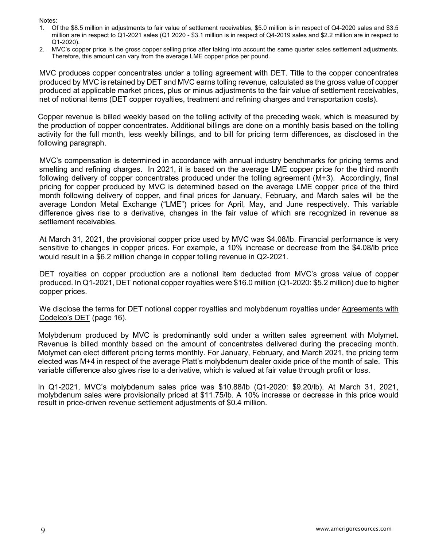Notes:

- 1. Of the \$8.5 million in adjustments to fair value of settlement receivables, \$5.0 million is in respect of Q4-2020 sales and \$3.5 million are in respect to Q1-2021 sales (Q1 2020 - \$3.1 million is in respect of Q4-2019 sales and \$2.2 million are in respect to Q1-2020).
- 2. MVC's copper price is the gross copper selling price after taking into account the same quarter sales settlement adjustments. Therefore, this amount can vary from the average LME copper price per pound.

MVC produces copper concentrates under a tolling agreement with DET. Title to the copper concentrates produced by MVC is retained by DET and MVC earns tolling revenue, calculated as the gross value of copper produced at applicable market prices, plus or minus adjustments to the fair value of settlement receivables, net of notional items (DET copper royalties, treatment and refining charges and transportation costs).

Copper revenue is billed weekly based on the tolling activity of the preceding week, which is measured by the production of copper concentrates. Additional billings are done on a monthly basis based on the tolling activity for the full month, less weekly billings, and to bill for pricing term differences, as disclosed in the following paragraph.

MVC's compensation is determined in accordance with annual industry benchmarks for pricing terms and smelting and refining charges. In 2021, it is based on the average LME copper price for the third month following delivery of copper concentrates produced under the tolling agreement (M+3). Accordingly, final pricing for copper produced by MVC is determined based on the average LME copper price of the third month following delivery of copper, and final prices for January, February, and March sales will be the average London Metal Exchange ("LME") prices for April, May, and June respectively. This variable difference gives rise to a derivative, changes in the fair value of which are recognized in revenue as settlement receivables.

At March 31, 2021, the provisional copper price used by MVC was \$4.08/lb. Financial performance is very sensitive to changes in copper prices. For example, a 10% increase or decrease from the \$4.08/lb price would result in a \$6.2 million change in copper tolling revenue in Q2-2021.

DET royalties on copper production are a notional item deducted from MVC's gross value of copper produced. In Q1-2021, DET notional copper royalties were \$16.0 million (Q1-2020: \$5.2 million) due to higher copper prices.

We disclose the terms for DET notional copper royalties and molybdenum royalties under Agreements with Codelco's DET (page 16).

Molybdenum produced by MVC is predominantly sold under a written sales agreement with Molymet. Revenue is billed monthly based on the amount of concentrates delivered during the preceding month. Molymet can elect different pricing terms monthly. For January, February, and March 2021, the pricing term elected was M+4 in respect of the average Platt's molybdenum dealer oxide price of the month of sale. This variable difference also gives rise to a derivative, which is valued at fair value through profit or loss.

In Q1-2021, MVC's molybdenum sales price was \$10.88/lb (Q1-2020: \$9.20/lb). At March 31, 2021, molybdenum sales were provisionally priced at \$11.75/lb. A 10% increase or decrease in this price would result in price-driven revenue settlement adjustments of \$0.4 million.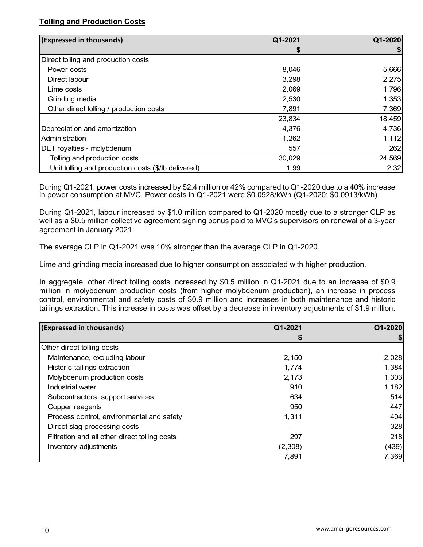# **Tolling and Production Costs**

| (Expressed in thousands)                            | Q1-2021 | Q1-2020 |
|-----------------------------------------------------|---------|---------|
|                                                     |         |         |
| Direct tolling and production costs                 |         |         |
| Power costs                                         | 8,046   | 5,666   |
| Direct labour                                       | 3,298   | 2,275   |
| Lime costs                                          | 2,069   | 1,796   |
| Grinding media                                      | 2,530   | 1,353   |
| Other direct tolling / production costs             | 7,891   | 7,369   |
|                                                     | 23,834  | 18,459  |
| Depreciation and amortization                       | 4,376   | 4,736   |
| Administration                                      | 1,262   | 1,112   |
| DET royalties - molybdenum                          | 557     | 262     |
| Tolling and production costs                        | 30,029  | 24,569  |
| Unit tolling and production costs (\$/lb delivered) | 1.99    | 2.32    |

During Q1-2021, power costs increased by \$2.4 million or 42% compared to Q1-2020 due to a 40% increase in power consumption at MVC. Power costs in Q1-2021 were \$0.0928/kWh (Q1-2020: \$0.0913/kWh).

During Q1-2021, labour increased by \$1.0 million compared to Q1-2020 mostly due to a stronger CLP as well as a \$0.5 million collective agreement signing bonus paid to MVC's supervisors on renewal of a 3-year agreement in January 2021.

The average CLP in Q1-2021 was 10% stronger than the average CLP in Q1-2020.

Lime and grinding media increased due to higher consumption associated with higher production.

In aggregate, other direct tolling costs increased by \$0.5 million in Q1-2021 due to an increase of \$0.9 million in molybdenum production costs (from higher molybdenum production), an increase in process control, environmental and safety costs of \$0.9 million and increases in both maintenance and historic tailings extraction. This increase in costs was offset by a decrease in inventory adjustments of \$1.9 million.

| (Expressed in thousands)                      | Q1-2021 | Q1-2020 |
|-----------------------------------------------|---------|---------|
|                                               | \$      |         |
| Other direct tolling costs                    |         |         |
| Maintenance, excluding labour                 | 2,150   | 2,028   |
| Historic tailings extraction                  | 1,774   | 1,384   |
| Molybdenum production costs                   | 2,173   | 1,303   |
| Industrial water                              | 910     | 1,182   |
| Subcontractors, support services              | 634     | 514     |
| Copper reagents                               | 950     | 447     |
| Process control, environmental and safety     | 1,311   | 404     |
| Direct slag processing costs                  |         | 328     |
| Filtration and all other direct tolling costs | 297     | 218     |
| Inventory adjustments                         | (2,308) | (439)   |
|                                               | 7,891   | 7,369   |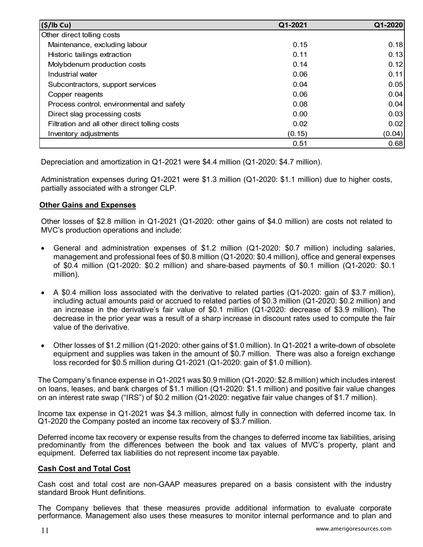| (S/lb Cu)                                     | Q1-2021 | Q1-2020 |
|-----------------------------------------------|---------|---------|
| Other direct tolling costs                    |         |         |
| Maintenance, excluding labour                 | 0.15    | 0.18    |
| Historic tailings extraction                  | 0.11    | 0.13    |
| Molybdenum production costs                   | 0.14    | 0.12    |
| Industrial water                              | 0.06    | 0.11    |
| Subcontractors, support services              | 0.04    | 0.05    |
| Copper reagents                               | 0.06    | 0.04    |
| Process control, environmental and safety     | 0.08    | 0.04    |
| Direct slag processing costs                  | 0.00    | 0.03    |
| Filtration and all other direct tolling costs | 0.02    | 0.02    |
| Inventory adjustments                         | (0.15)  | (0.04)  |
|                                               | 0.51    | 0.68    |

Depreciation and amortization in Q1-2021 were \$4.4 million (Q1-2020: \$4.7 million).

Administration expenses during Q1-2021 were \$1.3 million (Q1-2020: \$1.1 million) due to higher costs, partially associated with a stronger CLP.

#### **Other Gains and Expenses**

Other losses of \$2.8 million in Q1-2021 (Q1-2020: other gains of \$4.0 million) are costs not related to MVC's production operations and include:

- General and administration expenses of \$1.2 million (Q1-2020: \$0.7 million) including salaries, management and professional fees of \$0.8 million (Q1-2020: \$0.4 million), office and general expenses of \$0.4 million (Q1-2020: \$0.2 million) and share-based payments of \$0.1 million (Q1-2020: \$0.1 million).
- A \$0.4 million loss associated with the derivative to related parties (Q1-2020: gain of \$3.7 million), including actual amounts paid or accrued to related parties of \$0.3 million (Q1-2020: \$0.2 million) and an increase in the derivative's fair value of \$0.1 million (Q1-2020: decrease of \$3.9 million). The decrease in the prior year was a result of a sharp increase in discount rates used to compute the fair value of the derivative.
- Other losses of \$1.2 million (Q1-2020: other gains of \$1.0 million). In Q1-2021 a write-down of obsolete equipment and supplies was taken in the amount of \$0.7 million. There was also a foreign exchange loss recorded for \$0.5 million during Q1-2021 (Q1-2020: gain of \$1.0 million).

The Company's finance expense in Q1-2021 was \$0.9 million (Q1-2020: \$2.8 million) which includes interest on loans, leases, and bank charges of \$1.1 million (Q1-2020: \$1.1 million) and positive fair value changes on an interest rate swap ("IRS") of \$0.2 million (Q1-2020: negative fair value changes of \$1.7 million).

Income tax expense in Q1-2021 was \$4.3 million, almost fully in connection with deferred income tax. In Q1-2020 the Company posted an income tax recovery of \$3.7 million.

Deferred income tax recovery or expense results from the changes to deferred income tax liabilities, arising predominantly from the differences between the book and tax values of MVC's property, plant and equipment. Deferred tax liabilities do not represent income tax payable.

#### **Cash Cost and Total Cost**

Cash cost and total cost are non-GAAP measures prepared on a basis consistent with the industry standard Brook Hunt definitions.

The Company believes that these measures provide additional information to evaluate corporate performance. Management also uses these measures to monitor internal performance and to plan and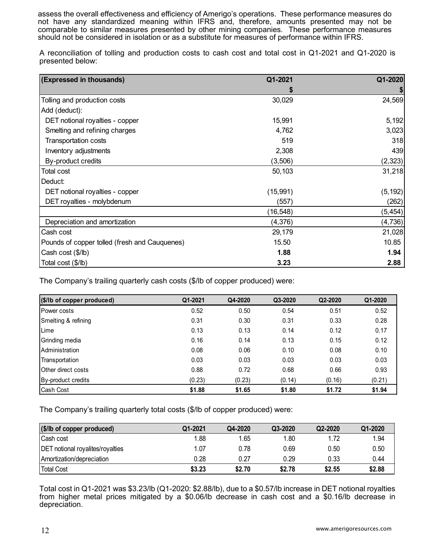assess the overall effectiveness and efficiency of Amerigo's operations. These performance measures do not have any standardized meaning within IFRS and, therefore, amounts presented may not be comparable to similar measures presented by other mining companies. These performance measures should not be considered in isolation or as a substitute for measures of performance within IFRS.

A reconciliation of tolling and production costs to cash cost and total cost in Q1-2021 and Q1-2020 is presented below:

| (Expressed in thousands)                      | Q1-2021   | Q1-2020  |
|-----------------------------------------------|-----------|----------|
|                                               | S         | \$       |
| Tolling and production costs                  | 30,029    | 24,569   |
| Add (deduct):                                 |           |          |
| DET notional royalties - copper               | 15,991    | 5,192    |
| Smelting and refining charges                 | 4,762     | 3,023    |
| <b>Transportation costs</b>                   | 519       | 318      |
| Inventory adjustments                         | 2,308     | 439      |
| By-product credits                            | (3,506)   | (2, 323) |
| Total cost                                    | 50,103    | 31,218   |
| Deduct:                                       |           |          |
| DET notional royalties - copper               | (15,991)  | (5, 192) |
| DET royalties - molybdenum                    | (557)     | (262)    |
|                                               | (16, 548) | (5, 454) |
| Depreciation and amortization                 | (4,376)   | (4, 736) |
| Cash cost                                     | 29,179    | 21,028   |
| Pounds of copper tolled (fresh and Cauquenes) | 15.50     | 10.85    |
| Cash cost (\$/lb)                             | 1.88      | 1.94     |
| Total cost (\$/lb)                            | 3.23      | 2.88     |

The Company's trailing quarterly cash costs (\$/lb of copper produced) were:

| (\$/lb of copper produced) | Q1-2021 | Q4-2020 | Q3-2020 | Q2-2020 | Q1-2020 |
|----------------------------|---------|---------|---------|---------|---------|
| <b>Power costs</b>         | 0.52    | 0.50    | 0.54    | 0.51    | 0.52    |
| Smelting & refining        | 0.31    | 0.30    | 0.31    | 0.33    | 0.28    |
| Lime                       | 0.13    | 0.13    | 0.14    | 0.12    | 0.17    |
| Grinding media             | 0.16    | 0.14    | 0.13    | 0.15    | 0.12    |
| <b>Administration</b>      | 0.08    | 0.06    | 0.10    | 0.08    | 0.10    |
| Transportation             | 0.03    | 0.03    | 0.03    | 0.03    | 0.03    |
| <b>Other direct costs</b>  | 0.88    | 0.72    | 0.68    | 0.66    | 0.93    |
| By-product credits         | (0.23)  | (0.23)  | (0.14)  | (0.16)  | (0.21)  |
| Cash Cost                  | \$1.88  | \$1.65  | \$1.80  | \$1.72  | \$1.94  |

The Company's trailing quarterly total costs (\$/lb of copper produced) were:

| (\$/lb of copper produced)       | Q1-2021 | Q4-2020 | Q3-2020 | Q2-2020 | Q1-2020 |
|----------------------------------|---------|---------|---------|---------|---------|
| Cash cost                        | 1.88    | 1.65    | 1.80    | 1.72    | 1.94    |
| DET notional royalites/royalties | 1.07    | 0.78    | 0.69    | 0.50    | 0.50    |
| Amortization/depreciation        | 0.28    | 0.27    | 0.29    | 0.33    | 0.44    |
| <b>Total Cost</b>                | \$3.23  | \$2.70  | \$2.78  | \$2.55  | \$2.88  |

Total cost in Q1-2021 was \$3.23/lb (Q1-2020: \$2.88/lb), due to a \$0.57/lb increase in DET notional royalties from higher metal prices mitigated by a \$0.06/lb decrease in cash cost and a \$0.16/lb decrease in depreciation.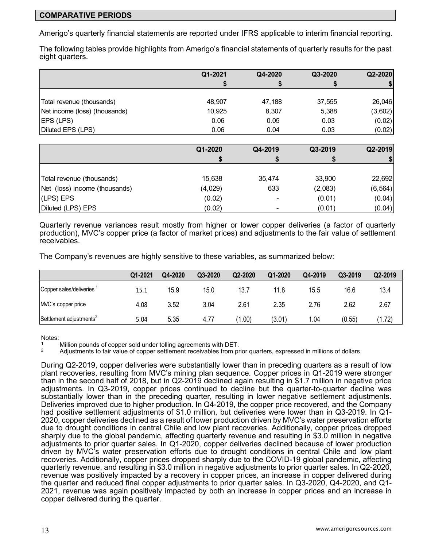# **COMPARATIVE PERIODS**

Amerigo's quarterly financial statements are reported under IFRS applicable to interim financial reporting.

The following tables provide highlights from Amerigo's financial statements of quarterly results for the past eight quarters.

|                               | Q1-2021 | Q4-2020 | Q3-2020 | Q2-2020 |
|-------------------------------|---------|---------|---------|---------|
|                               |         |         |         |         |
|                               |         |         |         |         |
| Total revenue (thousands)     | 48,907  | 47,188  | 37,555  | 26,046  |
| Net income (loss) (thousands) | 10,925  | 8,307   | 5,388   | (3,602) |
| EPS (LPS)                     | 0.06    | 0.05    | 0.03    | (0.02)  |
| Diluted EPS (LPS)             | 0.06    | 0.04    | 0.03    | (0.02)  |

|                               | Q1-2020 | Q4-2019 | Q3-2019 | Q2-2019  |
|-------------------------------|---------|---------|---------|----------|
|                               |         |         | S       |          |
|                               |         |         |         |          |
| Total revenue (thousands)     | 15,638  | 35,474  | 33,900  | 22,692   |
| Net (loss) income (thousands) | (4,029) | 633     | (2,083) | (6, 564) |
| $ $ (LPS) EPS                 | (0.02)  |         | (0.01)  | (0.04)   |
| Diluted (LPS) EPS             | (0.02)  |         | (0.01)  | (0.04)   |

Quarterly revenue variances result mostly from higher or lower copper deliveries (a factor of quarterly production), MVC's copper price (a factor of market prices) and adjustments to the fair value of settlement receivables.

The Company's revenues are highly sensitive to these variables, as summarized below:

|                                      | Q1-2021 | Q4-2020 | Q3-2020 | Q2-2020 | Q1-2020 | Q4-2019 | Q3-2019 | Q2-2019 |
|--------------------------------------|---------|---------|---------|---------|---------|---------|---------|---------|
| Copper sales/deliveries <sup>1</sup> | 15.1    | 15.9    | 15.0    | 13.7    | 11.8    | 15.5    | 16.6    | 13.4    |
| MVC's copper price                   | 4.08    | 3.52    | 3.04    | 2.61    | 2.35    | 2.76    | 2.62    | 2.67    |
| Settlement adjustments <sup>2</sup>  | 5.04    | 5.35    | 4.77    | (1.00)  | (3.01)  | 1.04    | (0.55)  | 1.72)   |

Notes:<br><sup>1</sup> Million pounds of copper sold under tolling agreements with DET.

 $12$  Million pounds of copper settlement receivables from prior quarters, expressed in millions of dollars.

During Q2-2019, copper deliveries were substantially lower than in preceding quarters as a result of low plant recoveries, resulting from MVC's mining plan sequence. Copper prices in Q1-2019 were stronger than in the second half of 2018, but in Q2-2019 declined again resulting in \$1.7 million in negative price adjustments. In Q3-2019, copper prices continued to decline but the quarter-to-quarter decline was substantially lower than in the preceding quarter, resulting in lower negative settlement adjustments. Deliveries improved due to higher production. In Q4-2019, the copper price recovered, and the Company had positive settlement adjustments of \$1.0 million, but deliveries were lower than in Q3-2019. In Q1- 2020, copper deliveries declined as a result of lower production driven by MVC's water preservation efforts due to drought conditions in central Chile and low plant recoveries. Additionally, copper prices dropped sharply due to the global pandemic, affecting quarterly revenue and resulting in \$3.0 million in negative adjustments to prior quarter sales. In Q1-2020, copper deliveries declined because of lower production driven by MVC's water preservation efforts due to drought conditions in central Chile and low plant recoveries. Additionally, copper prices dropped sharply due to the COVID-19 global pandemic, affecting quarterly revenue, and resulting in \$3.0 million in negative adjustments to prior quarter sales. In Q2-2020, revenue was positively impacted by a recovery in copper prices, an increase in copper delivered during the quarter and reduced final copper adjustments to prior quarter sales. In Q3-2020, Q4-2020, and Q1- 2021, revenue was again positively impacted by both an increase in copper prices and an increase in copper delivered during the quarter.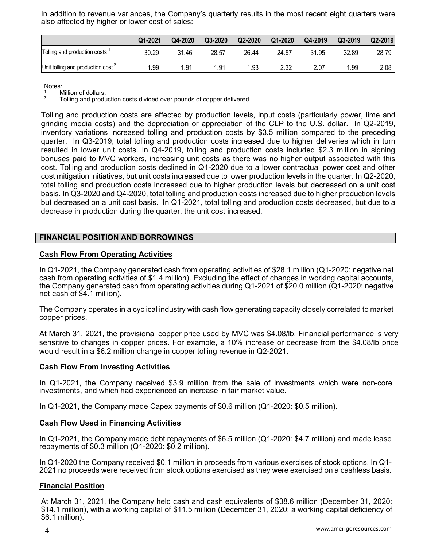In addition to revenue variances, the Company's quarterly results in the most recent eight quarters were also affected by higher or lower cost of sales:

|                                       | Q1-2021 | Q4-2020 | Q3-2020 | Q2-2020 | Q1-2020 | Q4-2019 | Q3-2019 | Q2-2019 |
|---------------------------------------|---------|---------|---------|---------|---------|---------|---------|---------|
| Tolling and production costs          | 30.29   | 31.46   | 28.57   | 26.44   | 24.57   | 31.95   | 32.89   | 28.79   |
| Unit tolling and production $\cosh^2$ | .99     | .91     | .91     | .93     | 2.32    | 2.07    | .99     | 2.08    |

Notes:

 $\frac{1}{2}$  Million of dollars.<br><sup>2</sup> Tolling and production costs divided over pounds of copper delivered.

Tolling and production costs are affected by production levels, input costs (particularly power, lime and grinding media costs) and the depreciation or appreciation of the CLP to the U.S. dollar. In Q2-2019, inventory variations increased tolling and production costs by \$3.5 million compared to the preceding quarter. In Q3-2019, total tolling and production costs increased due to higher deliveries which in turn resulted in lower unit costs. In Q4-2019, tolling and production costs included \$2.3 million in signing bonuses paid to MVC workers, increasing unit costs as there was no higher output associated with this cost. Tolling and production costs declined in Q1-2020 due to a lower contractual power cost and other cost mitigation initiatives, but unit costs increased due to lower production levels in the quarter. In Q2-2020, total tolling and production costs increased due to higher production levels but decreased on a unit cost basis. In Q3-2020 and Q4-2020, total tolling and production costs increased due to higher production levels but decreased on a unit cost basis. In Q1-2021, total tolling and production costs decreased, but due to a decrease in production during the quarter, the unit cost increased.

# **FINANCIAL POSITION AND BORROWINGS**

#### **Cash Flow From Operating Activities**

In Q1-2021, the Company generated cash from operating activities of \$28.1 million (Q1-2020: negative net cash from operating activities of \$1.4 million). Excluding the effect of changes in working capital accounts, the Company generated cash from operating activities during Q1-2021 of \$20.0 million (Q1-2020: negative net cash of \$4.1 million).

The Company operates in a cyclical industry with cash flow generating capacity closely correlated to market copper prices.

At March 31, 2021, the provisional copper price used by MVC was \$4.08/lb. Financial performance is very sensitive to changes in copper prices. For example, a 10% increase or decrease from the \$4.08/lb price would result in a \$6.2 million change in copper tolling revenue in Q2-2021.

#### **Cash Flow From Investing Activities**

In Q1-2021, the Company received \$3.9 million from the sale of investments which were non-core investments, and which had experienced an increase in fair market value.

In Q1-2021, the Company made Capex payments of \$0.6 million (Q1-2020: \$0.5 million).

## **Cash Flow Used in Financing Activities**

In Q1-2021, the Company made debt repayments of \$6.5 million (Q1-2020: \$4.7 million) and made lease repayments of \$0.3 million (Q1-2020: \$0.2 million).

In Q1-2020 the Company received \$0.1 million in proceeds from various exercises of stock options. In Q1- 2021 no proceeds were received from stock options exercised as they were exercised on a cashless basis.

#### **Financial Position**

At March 31, 2021, the Company held cash and cash equivalents of \$38.6 million (December 31, 2020: \$14.1 million), with a working capital of \$11.5 million (December 31, 2020: a working capital deficiency of \$6.1 million).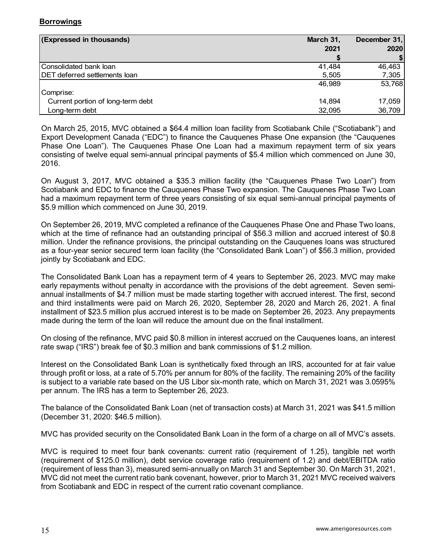# **Borrowings**

| (Expressed in thousands)             | March 31, | December 31, |
|--------------------------------------|-----------|--------------|
|                                      | 2021      | 2020         |
|                                      |           |              |
| Consolidated bank loan               | 41,484    | 46,463       |
| <b>DET</b> deferred settlements loan | 5,505     | 7,305        |
|                                      | 46.989    | 53,768       |
| Comprise:                            |           |              |
| Current portion of long-term debt    | 14,894    | 17,059       |
| Long-term debt                       | 32,095    | 36,709       |

On March 25, 2015, MVC obtained a \$64.4 million loan facility from Scotiabank Chile ("Scotiabank") and Export Development Canada ("EDC") to finance the Cauquenes Phase One expansion (the "Cauquenes Phase One Loan"). The Cauquenes Phase One Loan had a maximum repayment term of six years consisting of twelve equal semi-annual principal payments of \$5.4 million which commenced on June 30, 2016.

On August 3, 2017, MVC obtained a \$35.3 million facility (the "Cauquenes Phase Two Loan") from Scotiabank and EDC to finance the Cauquenes Phase Two expansion. The Cauquenes Phase Two Loan had a maximum repayment term of three years consisting of six equal semi-annual principal payments of \$5.9 million which commenced on June 30, 2019.

On September 26, 2019, MVC completed a refinance of the Cauquenes Phase One and Phase Two loans, which at the time of refinance had an outstanding principal of \$56.3 million and accrued interest of \$0.8 million. Under the refinance provisions, the principal outstanding on the Cauquenes loans was structured as a four-year senior secured term loan facility (the "Consolidated Bank Loan") of \$56.3 million, provided jointly by Scotiabank and EDC.

The Consolidated Bank Loan has a repayment term of 4 years to September 26, 2023. MVC may make early repayments without penalty in accordance with the provisions of the debt agreement. Seven semiannual installments of \$4.7 million must be made starting together with accrued interest. The first, second and third installments were paid on March 26, 2020, September 28, 2020 and March 26, 2021. A final installment of \$23.5 million plus accrued interest is to be made on September 26, 2023. Any prepayments made during the term of the loan will reduce the amount due on the final installment.

On closing of the refinance, MVC paid \$0.8 million in interest accrued on the Cauquenes loans, an interest rate swap ("IRS") break fee of \$0.3 million and bank commissions of \$1.2 million.

Interest on the Consolidated Bank Loan is synthetically fixed through an IRS, accounted for at fair value through profit or loss, at a rate of 5.70% per annum for 80% of the facility. The remaining 20% of the facility is subject to a variable rate based on the US Libor six-month rate, which on March 31, 2021 was 3.0595% per annum. The IRS has a term to September 26, 2023.

The balance of the Consolidated Bank Loan (net of transaction costs) at March 31, 2021 was \$41.5 million (December 31, 2020: \$46.5 million).

MVC has provided security on the Consolidated Bank Loan in the form of a charge on all of MVC's assets.

MVC is required to meet four bank covenants: current ratio (requirement of 1.25), tangible net worth (requirement of \$125.0 million), debt service coverage ratio (requirement of 1.2) and debt/EBITDA ratio (requirement of less than 3), measured semi-annually on March 31 and September 30. On March 31, 2021, MVC did not meet the current ratio bank covenant, however, prior to March 31, 2021 MVC received waivers from Scotiabank and EDC in respect of the current ratio covenant compliance.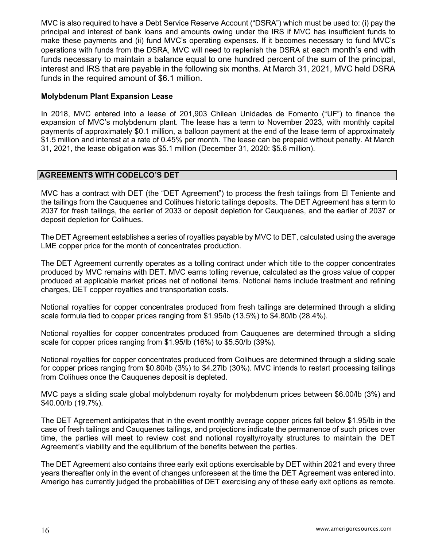MVC is also required to have a Debt Service Reserve Account ("DSRA") which must be used to: (i) pay the principal and interest of bank loans and amounts owing under the IRS if MVC has insufficient funds to make these payments and (ii) fund MVC's operating expenses. If it becomes necessary to fund MVC's operations with funds from the DSRA, MVC will need to replenish the DSRA at each month's end with funds necessary to maintain a balance equal to one hundred percent of the sum of the principal, interest and IRS that are payable in the following six months. At March 31, 2021, MVC held DSRA funds in the required amount of \$6.1 million.

## **Molybdenum Plant Expansion Lease**

In 2018, MVC entered into a lease of 201,903 Chilean Unidades de Fomento ("UF") to finance the expansion of MVC's molybdenum plant. The lease has a term to November 2023, with monthly capital payments of approximately \$0.1 million, a balloon payment at the end of the lease term of approximately \$1.5 million and interest at a rate of 0.45% per month. The lease can be prepaid without penalty. At March 31, 2021, the lease obligation was \$5.1 million (December 31, 2020: \$5.6 million).

## **AGREEMENTS WITH CODELCO'S DET**

MVC has a contract with DET (the "DET Agreement") to process the fresh tailings from El Teniente and the tailings from the Cauquenes and Colihues historic tailings deposits. The DET Agreement has a term to 2037 for fresh tailings, the earlier of 2033 or deposit depletion for Cauquenes, and the earlier of 2037 or deposit depletion for Colihues.

The DET Agreement establishes a series of royalties payable by MVC to DET, calculated using the average LME copper price for the month of concentrates production.

The DET Agreement currently operates as a tolling contract under which title to the copper concentrates produced by MVC remains with DET. MVC earns tolling revenue, calculated as the gross value of copper produced at applicable market prices net of notional items. Notional items include treatment and refining charges, DET copper royalties and transportation costs.

Notional royalties for copper concentrates produced from fresh tailings are determined through a sliding scale formula tied to copper prices ranging from \$1.95/lb (13.5%) to \$4.80/lb (28.4%).

Notional royalties for copper concentrates produced from Cauquenes are determined through a sliding scale for copper prices ranging from \$1.95/lb (16%) to \$5.50/lb (39%).

Notional royalties for copper concentrates produced from Colihues are determined through a sliding scale for copper prices ranging from \$0.80/lb (3%) to \$4.27lb (30%). MVC intends to restart processing tailings from Colihues once the Cauquenes deposit is depleted.

MVC pays a sliding scale global molybdenum royalty for molybdenum prices between \$6.00/lb (3%) and \$40.00/lb (19.7%).

The DET Agreement anticipates that in the event monthly average copper prices fall below \$1.95/lb in the case of fresh tailings and Cauquenes tailings, and projections indicate the permanence of such prices over time, the parties will meet to review cost and notional royalty/royalty structures to maintain the DET Agreement's viability and the equilibrium of the benefits between the parties.

The DET Agreement also contains three early exit options exercisable by DET within 2021 and every three years thereafter only in the event of changes unforeseen at the time the DET Agreement was entered into. Amerigo has currently judged the probabilities of DET exercising any of these early exit options as remote.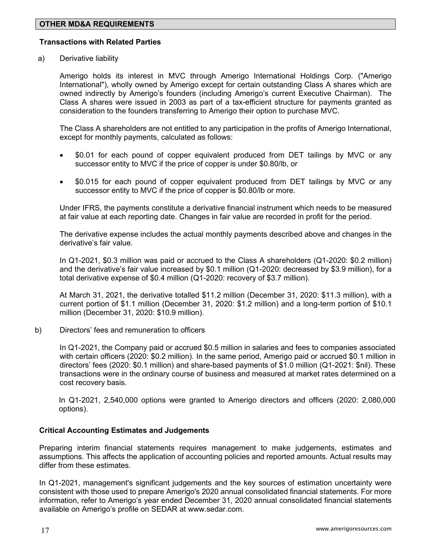#### **OTHER MD&A REQUIREMENTS**

#### **Transactions with Related Parties**

a) Derivative liability

Amerigo holds its interest in MVC through Amerigo International Holdings Corp. ("Amerigo International"), wholly owned by Amerigo except for certain outstanding Class A shares which are owned indirectly by Amerigo's founders (including Amerigo's current Executive Chairman). The Class A shares were issued in 2003 as part of a tax-efficient structure for payments granted as consideration to the founders transferring to Amerigo their option to purchase MVC.

The Class A shareholders are not entitled to any participation in the profits of Amerigo International, except for monthly payments, calculated as follows:

- \$0.01 for each pound of copper equivalent produced from DET tailings by MVC or any successor entity to MVC if the price of copper is under \$0.80/lb, or
- \$0.015 for each pound of copper equivalent produced from DET tailings by MVC or any successor entity to MVC if the price of copper is \$0.80/lb or more.

Under IFRS, the payments constitute a derivative financial instrument which needs to be measured at fair value at each reporting date. Changes in fair value are recorded in profit for the period.

The derivative expense includes the actual monthly payments described above and changes in the derivative's fair value.

In Q1-2021, \$0.3 million was paid or accrued to the Class A shareholders (Q1-2020: \$0.2 million) and the derivative's fair value increased by \$0.1 million (Q1-2020: decreased by \$3.9 million), for a total derivative expense of \$0.4 million (Q1-2020: recovery of \$3.7 million).

At March 31, 2021, the derivative totalled \$11.2 million (December 31, 2020: \$11.3 million), with a current portion of \$1.1 million (December 31, 2020: \$1.2 million) and a long-term portion of \$10.1 million (December 31, 2020: \$10.9 million).

b) Directors' fees and remuneration to officers

In Q1-2021, the Company paid or accrued \$0.5 million in salaries and fees to companies associated with certain officers (2020: \$0.2 million). In the same period, Amerigo paid or accrued \$0.1 million in directors' fees (2020: \$0.1 million) and share-based payments of \$1.0 million (Q1-2021: \$nil). These transactions were in the ordinary course of business and measured at market rates determined on a cost recovery basis.

In Q1-2021, 2,540,000 options were granted to Amerigo directors and officers (2020: 2,080,000 options).

## **Critical Accounting Estimates and Judgements**

Preparing interim financial statements requires management to make judgements, estimates and assumptions. This affects the application of accounting policies and reported amounts. Actual results may differ from these estimates.

In Q1-2021, management's significant judgements and the key sources of estimation uncertainty were consistent with those used to prepare Amerigo's 2020 annual consolidated financial statements. For more information, refer to Amerigo's year ended December 31, 2020 annual consolidated financial statements available on Amerigo's profile on SEDAR at www.sedar.com.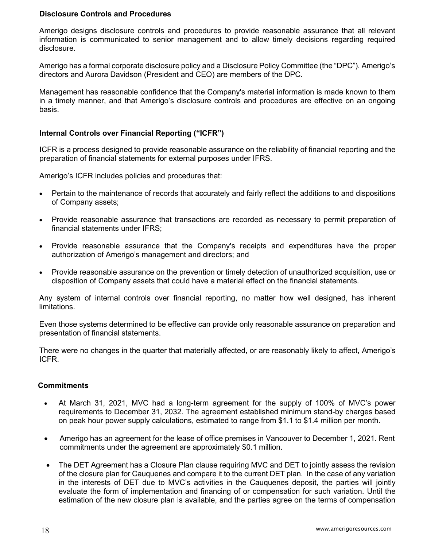#### **Disclosure Controls and Procedures**

Amerigo designs disclosure controls and procedures to provide reasonable assurance that all relevant information is communicated to senior management and to allow timely decisions regarding required disclosure.

Amerigo has a formal corporate disclosure policy and a Disclosure Policy Committee (the "DPC"). Amerigo's directors and Aurora Davidson (President and CEO) are members of the DPC.

Management has reasonable confidence that the Company's material information is made known to them in a timely manner, and that Amerigo's disclosure controls and procedures are effective on an ongoing basis.

### **Internal Controls over Financial Reporting ("ICFR")**

ICFR is a process designed to provide reasonable assurance on the reliability of financial reporting and the preparation of financial statements for external purposes under IFRS.

Amerigo's ICFR includes policies and procedures that:

- Pertain to the maintenance of records that accurately and fairly reflect the additions to and dispositions of Company assets;
- Provide reasonable assurance that transactions are recorded as necessary to permit preparation of financial statements under IFRS;
- Provide reasonable assurance that the Company's receipts and expenditures have the proper authorization of Amerigo's management and directors; and
- Provide reasonable assurance on the prevention or timely detection of unauthorized acquisition, use or disposition of Company assets that could have a material effect on the financial statements.

Any system of internal controls over financial reporting, no matter how well designed, has inherent limitations.

Even those systems determined to be effective can provide only reasonable assurance on preparation and presentation of financial statements.

There were no changes in the quarter that materially affected, or are reasonably likely to affect, Amerigo's ICFR.

#### **Commitments**

- At March 31, 2021, MVC had a long-term agreement for the supply of 100% of MVC's power requirements to December 31, 2032. The agreement established minimum stand-by charges based on peak hour power supply calculations, estimated to range from \$1.1 to \$1.4 million per month.
- Amerigo has an agreement for the lease of office premises in Vancouver to December 1, 2021. Rent commitments under the agreement are approximately \$0.1 million.
- The DET Agreement has a Closure Plan clause requiring MVC and DET to jointly assess the revision of the closure plan for Cauquenes and compare it to the current DET plan. In the case of any variation in the interests of DET due to MVC's activities in the Cauquenes deposit, the parties will jointly evaluate the form of implementation and financing of or compensation for such variation. Until the estimation of the new closure plan is available, and the parties agree on the terms of compensation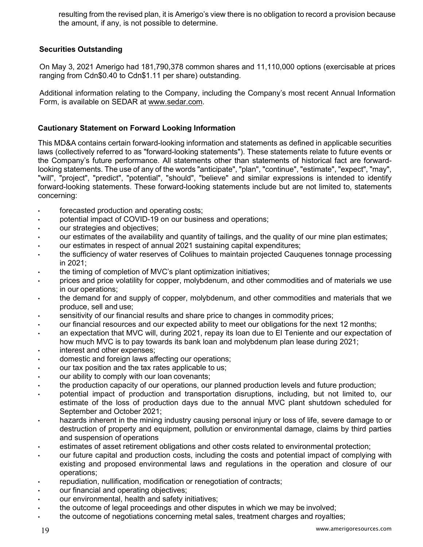resulting from the revised plan, it is Amerigo's view there is no obligation to record a provision because the amount, if any, is not possible to determine.

# **Securities Outstanding**

On May 3, 2021 Amerigo had 181,790,378 common shares and 11,110,000 options (exercisable at prices ranging from Cdn\$0.40 to Cdn\$1.11 per share) outstanding.

Additional information relating to the Company, including the Company's most recent Annual Information Form, is available on SEDAR at [www.sedar.com.](http://www.sedar.com/)

# **Cautionary Statement on Forward Looking Information**

This MD&A contains certain forward-looking information and statements as defined in applicable securities laws (collectively referred to as "forward-looking statements"). These statements relate to future events or the Company's future performance. All statements other than statements of historical fact are forwardlooking statements. The use of any of the words "anticipate", "plan", "continue", "estimate", "expect", "may", "will", "project", "predict", "potential", "should", "believe" and similar expressions is intended to identify forward-looking statements. These forward-looking statements include but are not limited to, statements concerning:

- forecasted production and operating costs;
- potential impact of COVID-19 on our business and operations;
- our strategies and objectives;
- our estimates of the availability and quantity of tailings, and the quality of our mine plan estimates;
- our estimates in respect of annual 2021 sustaining capital expenditures;
- the sufficiency of water reserves of Colihues to maintain projected Cauquenes tonnage processing in 2021;
- the timing of completion of MVC's plant optimization initiatives;
- prices and price volatility for copper, molybdenum, and other commodities and of materials we use in our operations;
- the demand for and supply of copper, molybdenum, and other commodities and materials that we produce, sell and use;
- sensitivity of our financial results and share price to changes in commodity prices;
- our financial resources and our expected ability to meet our obligations for the next 12 months;
- an expectation that MVC will, during 2021, repay its loan due to El Teniente and our expectation of how much MVC is to pay towards its bank loan and molybdenum plan lease during 2021;
- interest and other expenses;
- domestic and foreign laws affecting our operations;
- our tax position and the tax rates applicable to us;
- our ability to comply with our loan covenants;
- the production capacity of our operations, our planned production levels and future production;
- potential impact of production and transportation disruptions, including, but not limited to, our estimate of the loss of production days due to the annual MVC plant shutdown scheduled for September and October 2021;
- hazards inherent in the mining industry causing personal injury or loss of life, severe damage to or destruction of property and equipment, pollution or environmental damage, claims by third parties and suspension of operations
- estimates of asset retirement obligations and other costs related to environmental protection;
- our future capital and production costs, including the costs and potential impact of complying with existing and proposed environmental laws and regulations in the operation and closure of our operations;
- repudiation, nullification, modification or renegotiation of contracts;
- our financial and operating objectives;
- our environmental, health and safety initiatives;
- the outcome of legal proceedings and other disputes in which we may be involved;
- the outcome of negotiations concerning metal sales, treatment charges and royalties;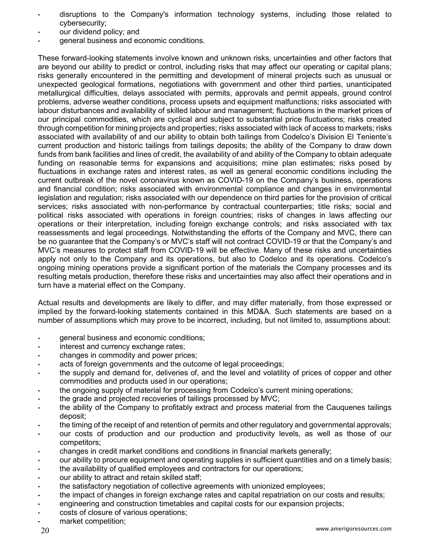- disruptions to the Company's information technology systems, including those related to cybersecurity;
- our dividend policy; and
- general business and economic conditions.

These forward-looking statements involve known and unknown risks, uncertainties and other factors that are beyond our ability to predict or control, including risks that may affect our operating or capital plans; risks generally encountered in the permitting and development of mineral projects such as unusual or unexpected geological formations, negotiations with government and other third parties, unanticipated metallurgical difficulties, delays associated with permits, approvals and permit appeals, ground control problems, adverse weather conditions, process upsets and equipment malfunctions; risks associated with labour disturbances and availability of skilled labour and management; fluctuations in the market prices of our principal commodities, which are cyclical and subject to substantial price fluctuations; risks created through competition for mining projects and properties; risks associated with lack of access to markets; risks associated with availability of and our ability to obtain both tailings from Codelco's Division El Teniente's current production and historic tailings from tailings deposits; the ability of the Company to draw down funds from bank facilities and lines of credit, the availability of and ability of the Company to obtain adequate funding on reasonable terms for expansions and acquisitions; mine plan estimates; risks posed by fluctuations in exchange rates and interest rates, as well as general economic conditions including the current outbreak of the novel coronavirus known as COVID-19 on the Company's business, operations and financial condition; risks associated with environmental compliance and changes in environmental legislation and regulation; risks associated with our dependence on third parties for the provision of critical services; risks associated with non-performance by contractual counterparties; title risks; social and political risks associated with operations in foreign countries; risks of changes in laws affecting our operations or their interpretation, including foreign exchange controls; and risks associated with tax reassessments and legal proceedings. Notwithstanding the efforts of the Company and MVC, there can be no guarantee that the Company's or MVC's staff will not contract COVID-19 or that the Company's and MVC's measures to protect staff from COVID-19 will be effective. Many of these risks and uncertainties apply not only to the Company and its operations, but also to Codelco and its operations. Codelco's ongoing mining operations provide a significant portion of the materials the Company processes and its resulting metals production, therefore these risks and uncertainties may also affect their operations and in turn have a material effect on the Company.

Actual results and developments are likely to differ, and may differ materially, from those expressed or implied by the forward-looking statements contained in this MD&A. Such statements are based on a number of assumptions which may prove to be incorrect, including, but not limited to, assumptions about:

- general business and economic conditions;
- interest and currency exchange rates;
- changes in commodity and power prices;
- acts of foreign governments and the outcome of legal proceedings;
- the supply and demand for, deliveries of, and the level and volatility of prices of copper and other commodities and products used in our operations;
- the ongoing supply of material for processing from Codelco's current mining operations;
- the grade and projected recoveries of tailings processed by MVC;
- the ability of the Company to profitably extract and process material from the Cauquenes tailings deposit;
- the timing of the receipt of and retention of permits and other regulatory and governmental approvals;
- our costs of production and our production and productivity levels, as well as those of our competitors;
- changes in credit market conditions and conditions in financial markets generally;
- our ability to procure equipment and operating supplies in sufficient quantities and on a timely basis;
- the availability of qualified employees and contractors for our operations;
- our ability to attract and retain skilled staff:
- the satisfactory negotiation of collective agreements with unionized employees;
- the impact of changes in foreign exchange rates and capital repatriation on our costs and results;
- engineering and construction timetables and capital costs for our expansion projects;
- costs of closure of various operations;
- market competition;